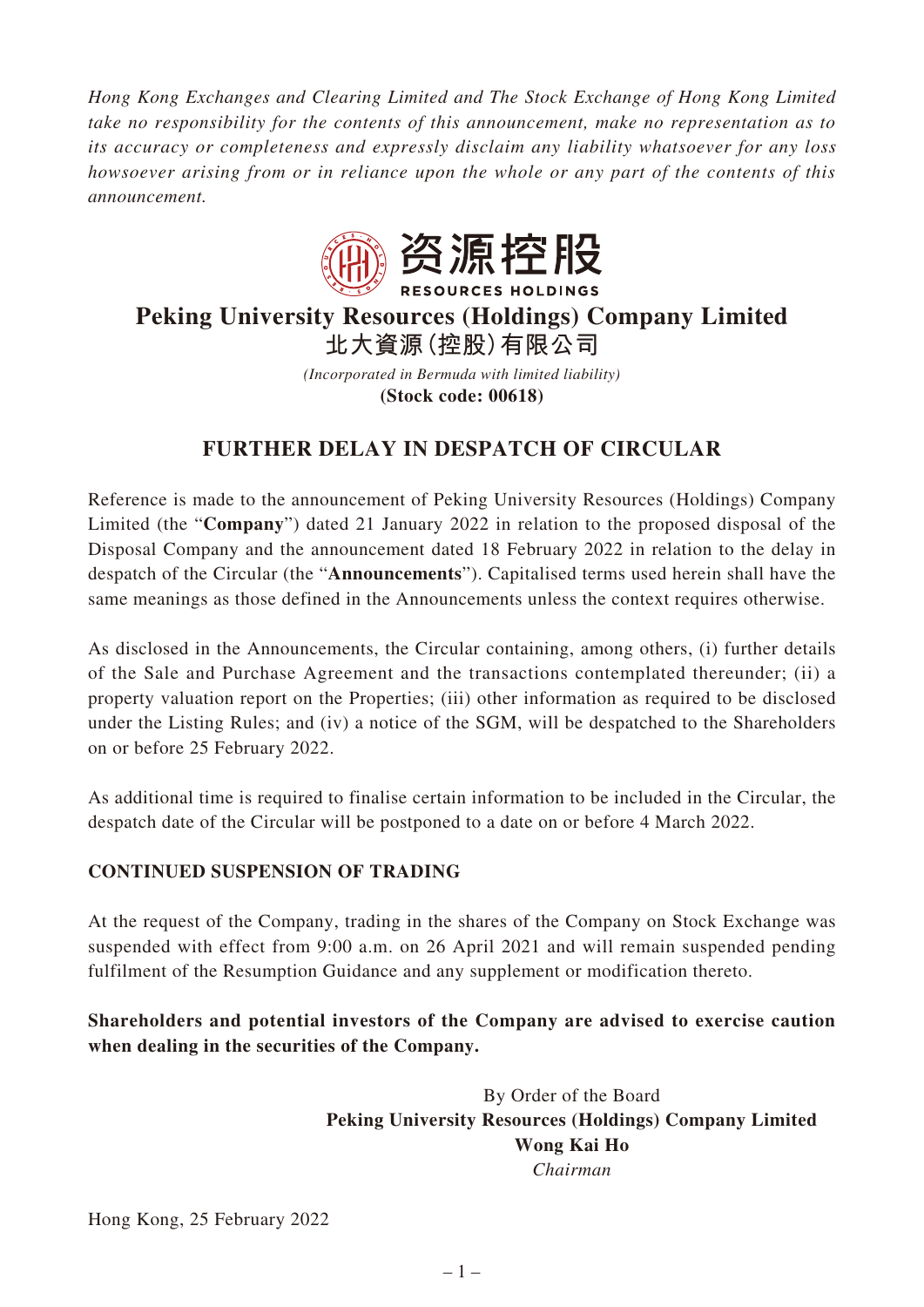*Hong Kong Exchanges and Clearing Limited and The Stock Exchange of Hong Kong Limited take no responsibility for the contents of this announcement, make no representation as to its accuracy or completeness and expressly disclaim any liability whatsoever for any loss howsoever arising from or in reliance upon the whole or any part of the contents of this announcement.*



## **Peking University Resources (Holdings) Company Limited 北大資源(控股)有限公司**

*(Incorporated in Bermuda with limited liability)* **(Stock code: 00618)**

## **FURTHER DELAY IN DESPATCH OF CIRCULAR**

Reference is made to the announcement of Peking University Resources (Holdings) Company Limited (the "**Company**") dated 21 January 2022 in relation to the proposed disposal of the Disposal Company and the announcement dated 18 February 2022 in relation to the delay in despatch of the Circular (the "**Announcements**"). Capitalised terms used herein shall have the same meanings as those defined in the Announcements unless the context requires otherwise.

As disclosed in the Announcements, the Circular containing, among others, (i) further details of the Sale and Purchase Agreement and the transactions contemplated thereunder; (ii) a property valuation report on the Properties; (iii) other information as required to be disclosed under the Listing Rules; and (iv) a notice of the SGM, will be despatched to the Shareholders on or before 25 February 2022.

As additional time is required to finalise certain information to be included in the Circular, the despatch date of the Circular will be postponed to a date on or before 4 March 2022.

## **CONTINUED SUSPENSION OF TRADING**

At the request of the Company, trading in the shares of the Company on Stock Exchange was suspended with effect from 9:00 a.m. on 26 April 2021 and will remain suspended pending fulfilment of the Resumption Guidance and any supplement or modification thereto.

**Shareholders and potential investors of the Company are advised to exercise caution when dealing in the securities of the Company.**

> By Order of the Board **Peking University Resources (Holdings) Company Limited Wong Kai Ho** *Chairman*

Hong Kong, 25 February 2022